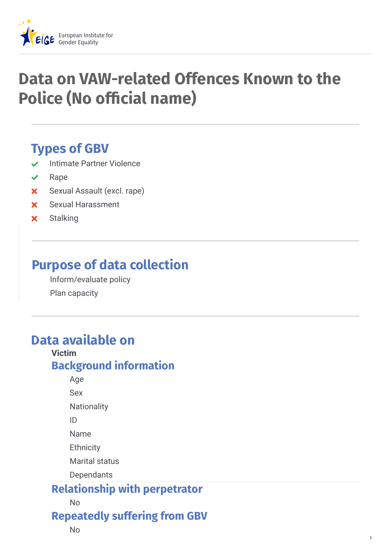

# **Data on VAW-related Offences Known to the Police (No official name)**

## **Types of GBV**

- Intimate Partner Violence
- $\vee$  Rape
- Sexual Assault (excl. rape)
- Sexual Harassment
- **x** Stalking

## **Purpose of data collection**

Inform/evaluate policy Plan capacity

## **Data available on**

#### **Victim Background information**

Age

Sex

**Nationality** 

ID

Name

**Ethnicity** 

Marital status

**Dependants** 

#### **Relationship with perpetrator**

No

**Repeatedly suffering from GBV**

1

No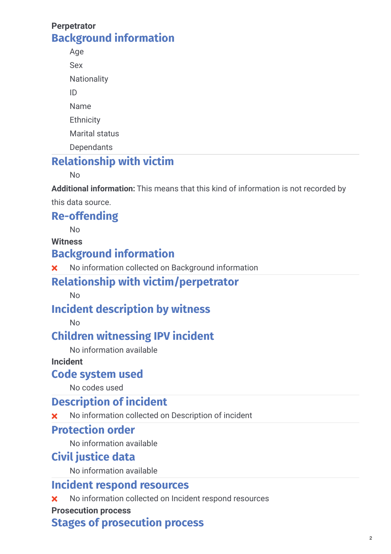#### **Perpetrator Background information**

Age Sex **Nationality** ID Name **Ethnicity** Marital status **Dependants** 

## **Relationship with victim**

No

**Additional information:** This means that this kind of information is not recorded by

this data source.

#### **Re-offending**

No

#### **Witness**

### **Background information**

No information collected on Background information

### **Relationship with victim/perpetrator**

No

### **Incident description by witness**

No

### **Children witnessing IPV incident**

No information available

#### **Incident**

#### **Code system used**

No codes used

### **Description of incident**

No information collected on Description of incident

#### **Protection order**

No information available

#### **Civil justice data**

No information available

#### **Incident respond resources**

**X** No information collected on Incident respond resources

#### **Prosecution process**

#### **Stages of prosecution process**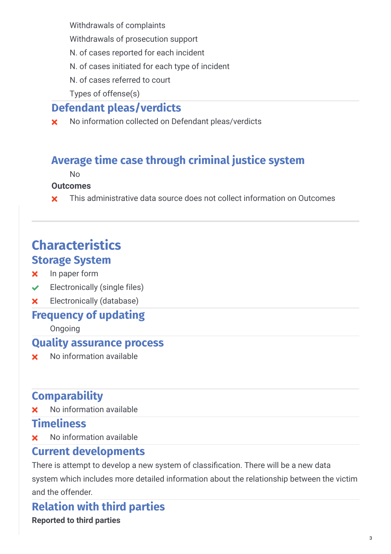Withdrawals of complaints

- Withdrawals of prosecution support
- N. of cases reported for each incident
- N. of cases initiated for each type of incident
- N. of cases referred to court

Types of offense(s)

## **Defendant pleas/verdicts**

**x** No information collected on Defendant pleas/verdicts

## **Average time case through criminal justice system**

No

#### **Outcomes**

**x** This administrative data source does not collect information on Outcomes

## **Characteristics Storage System**

- **x** In paper form
- $\triangleleft$  Electronically (single files)
- **x** Electronically (database)

#### **Frequency of updating**

Ongoing

#### **Quality assurance process**

No information available

## **Comparability**

**x** No information available

#### **Timeliness**

No information available

#### **Current developments**

There is attempt to develop a new system of classification. There will be a new data system which includes more detailed information about the relationship between the victim and the offender.

**Relation with third parties Reported to third parties**